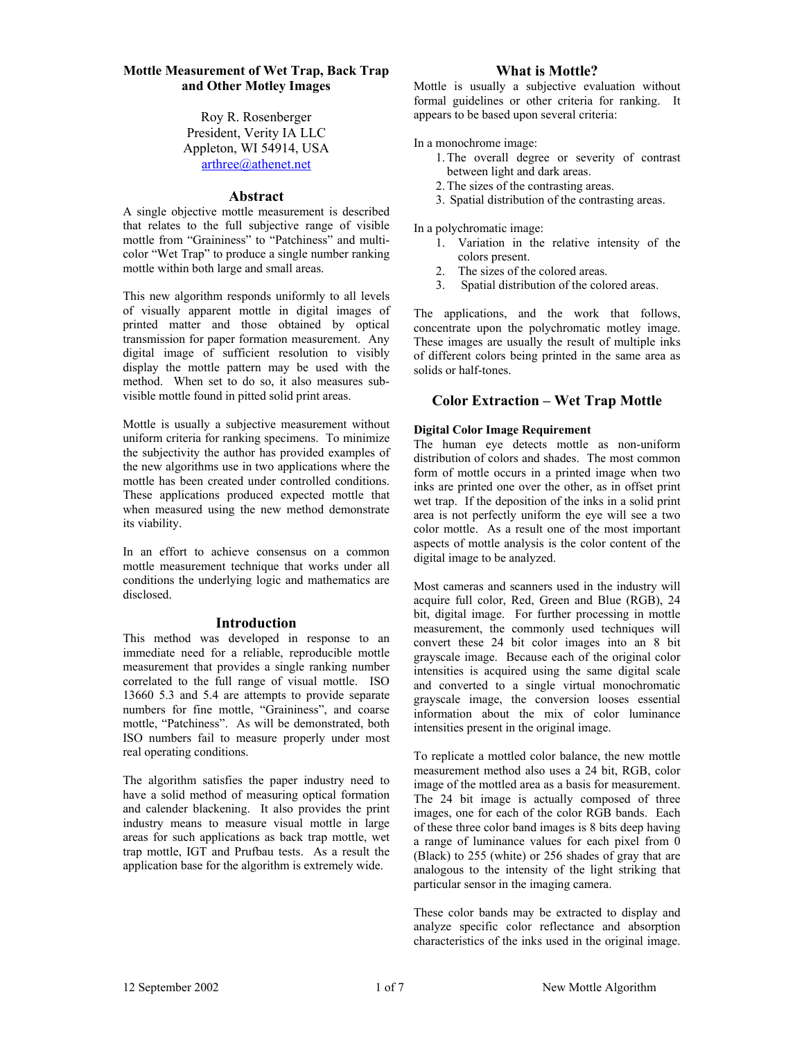# **Mottle Measurement of Wet Trap, Back Trap and Other Motley Images**

Roy R. Rosenberger President, Verity IA LLC Appleton, WI 54914, USA arthree@athenet.net

### **Abstract**

A single objective mottle measurement is described that relates to the full subjective range of visible mottle from "Graininess" to "Patchiness" and multicolor "Wet Trap" to produce a single number ranking mottle within both large and small areas.

This new algorithm responds uniformly to all levels of visually apparent mottle in digital images of printed matter and those obtained by optical transmission for paper formation measurement. Any digital image of sufficient resolution to visibly display the mottle pattern may be used with the method. When set to do so, it also measures subvisible mottle found in pitted solid print areas.

Mottle is usually a subjective measurement without uniform criteria for ranking specimens. To minimize the subjectivity the author has provided examples of the new algorithms use in two applications where the mottle has been created under controlled conditions. These applications produced expected mottle that when measured using the new method demonstrate its viability.

In an effort to achieve consensus on a common mottle measurement technique that works under all conditions the underlying logic and mathematics are disclosed.

# **Introduction**

This method was developed in response to an immediate need for a reliable, reproducible mottle measurement that provides a single ranking number correlated to the full range of visual mottle. ISO 13660 5.3 and 5.4 are attempts to provide separate numbers for fine mottle, "Graininess", and coarse mottle, "Patchiness". As will be demonstrated, both ISO numbers fail to measure properly under most real operating conditions.

The algorithm satisfies the paper industry need to have a solid method of measuring optical formation and calender blackening. It also provides the print industry means to measure visual mottle in large areas for such applications as back trap mottle, wet trap mottle, IGT and Prufbau tests. As a result the application base for the algorithm is extremely wide.

## **What is Mottle?**

Mottle is usually a subjective evaluation without formal guidelines or other criteria for ranking. It appears to be based upon several criteria:

In a monochrome image:

- 1.The overall degree or severity of contrast between light and dark areas.
- 2.The sizes of the contrasting areas.
- 3. Spatial distribution of the contrasting areas.

In a polychromatic image:

- 1. Variation in the relative intensity of the colors present.
- 2. The sizes of the colored areas.
- 3. Spatial distribution of the colored areas.

The applications, and the work that follows, concentrate upon the polychromatic motley image. These images are usually the result of multiple inks of different colors being printed in the same area as solids or half-tones.

# **Color Extraction – Wet Trap Mottle**

### **Digital Color Image Requirement**

The human eye detects mottle as non-uniform distribution of colors and shades. The most common form of mottle occurs in a printed image when two inks are printed one over the other, as in offset print wet trap. If the deposition of the inks in a solid print area is not perfectly uniform the eye will see a two color mottle. As a result one of the most important aspects of mottle analysis is the color content of the digital image to be analyzed.

Most cameras and scanners used in the industry will acquire full color, Red, Green and Blue (RGB), 24 bit, digital image. For further processing in mottle measurement, the commonly used techniques will convert these 24 bit color images into an 8 bit grayscale image. Because each of the original color intensities is acquired using the same digital scale and converted to a single virtual monochromatic grayscale image, the conversion looses essential information about the mix of color luminance intensities present in the original image.

To replicate a mottled color balance, the new mottle measurement method also uses a 24 bit, RGB, color image of the mottled area as a basis for measurement. The 24 bit image is actually composed of three images, one for each of the color RGB bands. Each of these three color band images is 8 bits deep having a range of luminance values for each pixel from 0 (Black) to 255 (white) or 256 shades of gray that are analogous to the intensity of the light striking that particular sensor in the imaging camera.

These color bands may be extracted to display and analyze specific color reflectance and absorption characteristics of the inks used in the original image.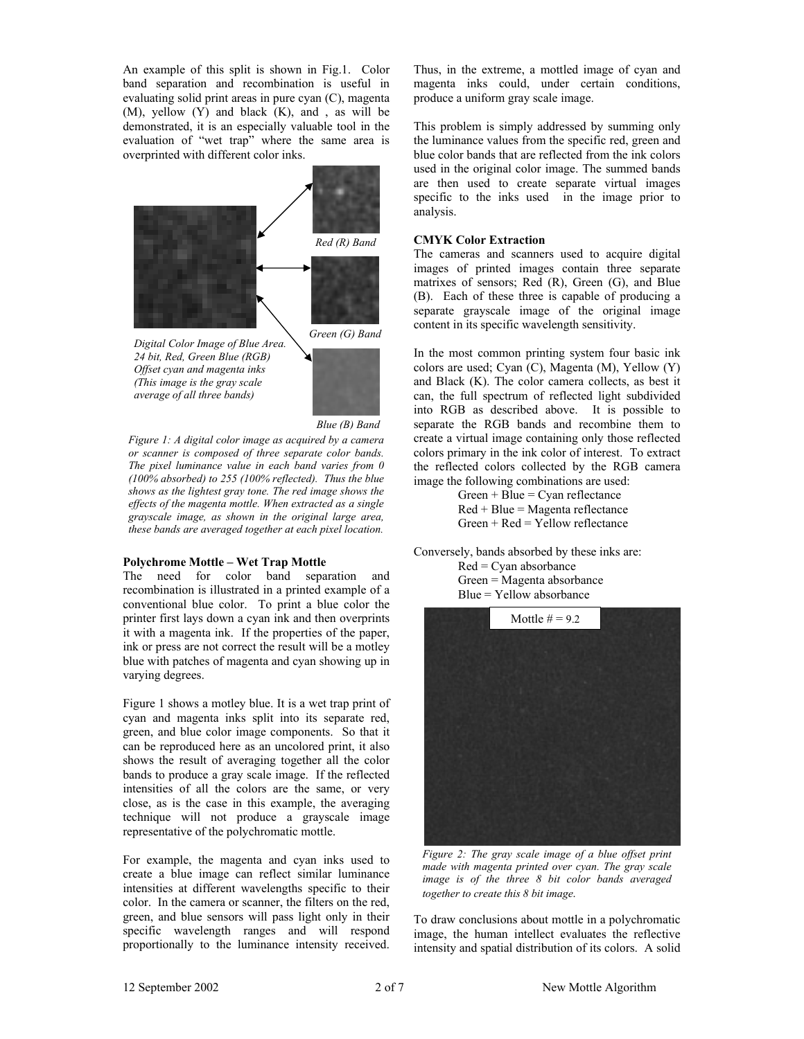An example of this split is shown in Fig.1. Color band separation and recombination is useful in evaluating solid print areas in pure cyan (C), magenta (M), yellow (Y) and black (K), and , as will be demonstrated, it is an especially valuable tool in the evaluation of "wet trap" where the same area is overprinted with different color inks.



*Digital Color Image of Blue Area. 24 bit, Red, Green Blue (RGB) Offset cyan and magenta inks (This image is the gray scale average of all three bands)* 



*Blue (B) Band*

*Figure 1: A digital color image as acquired by a camera or scanner is composed of three separate color bands. The pixel luminance value in each band varies from 0 (100% absorbed) to 255 (100% reflected). Thus the blue shows as the lightest gray tone. The red image shows the effects of the magenta mottle. When extracted as a single grayscale image, as shown in the original large area, these bands are averaged together at each pixel location.*

# **Polychrome Mottle – Wet Trap Mottle**

The need for color band separation and recombination is illustrated in a printed example of a conventional blue color. To print a blue color the printer first lays down a cyan ink and then overprints it with a magenta ink. If the properties of the paper, ink or press are not correct the result will be a motley blue with patches of magenta and cyan showing up in varying degrees.

Figure 1 shows a motley blue. It is a wet trap print of cyan and magenta inks split into its separate red, green, and blue color image components. So that it can be reproduced here as an uncolored print, it also shows the result of averaging together all the color bands to produce a gray scale image. If the reflected intensities of all the colors are the same, or very close, as is the case in this example, the averaging technique will not produce a grayscale image representative of the polychromatic mottle.

For example, the magenta and cyan inks used to create a blue image can reflect similar luminance intensities at different wavelengths specific to their color. In the camera or scanner, the filters on the red, green, and blue sensors will pass light only in their specific wavelength ranges and will respond proportionally to the luminance intensity received.

Thus, in the extreme, a mottled image of cyan and magenta inks could, under certain conditions, produce a uniform gray scale image.

This problem is simply addressed by summing only the luminance values from the specific red, green and blue color bands that are reflected from the ink colors used in the original color image. The summed bands are then used to create separate virtual images specific to the inks used in the image prior to analysis.

### **CMYK Color Extraction**

The cameras and scanners used to acquire digital images of printed images contain three separate matrixes of sensors; Red (R), Green (G), and Blue (B). Each of these three is capable of producing a separate grayscale image of the original image content in its specific wavelength sensitivity.

In the most common printing system four basic ink colors are used; Cyan (C), Magenta (M), Yellow (Y) and Black (K). The color camera collects, as best it can, the full spectrum of reflected light subdivided into RGB as described above. It is possible to separate the RGB bands and recombine them to create a virtual image containing only those reflected colors primary in the ink color of interest. To extract the reflected colors collected by the RGB camera image the following combinations are used:

> $Green + Blue = Cyan$  reflectance Red + Blue = Magenta reflectance  $Green + Red = Yellow reflectance$

Conversely, bands absorbed by these inks are: Red = Cyan absorbance

 Green = Magenta absorbance  $Blue = Yellow absorbance$ 



*Figure 2: The gray scale image of a blue offset print made with magenta printed over cyan. The gray scale image is of the three 8 bit color bands averaged together to create this 8 bit image.*

To draw conclusions about mottle in a polychromatic image, the human intellect evaluates the reflective intensity and spatial distribution of its colors. A solid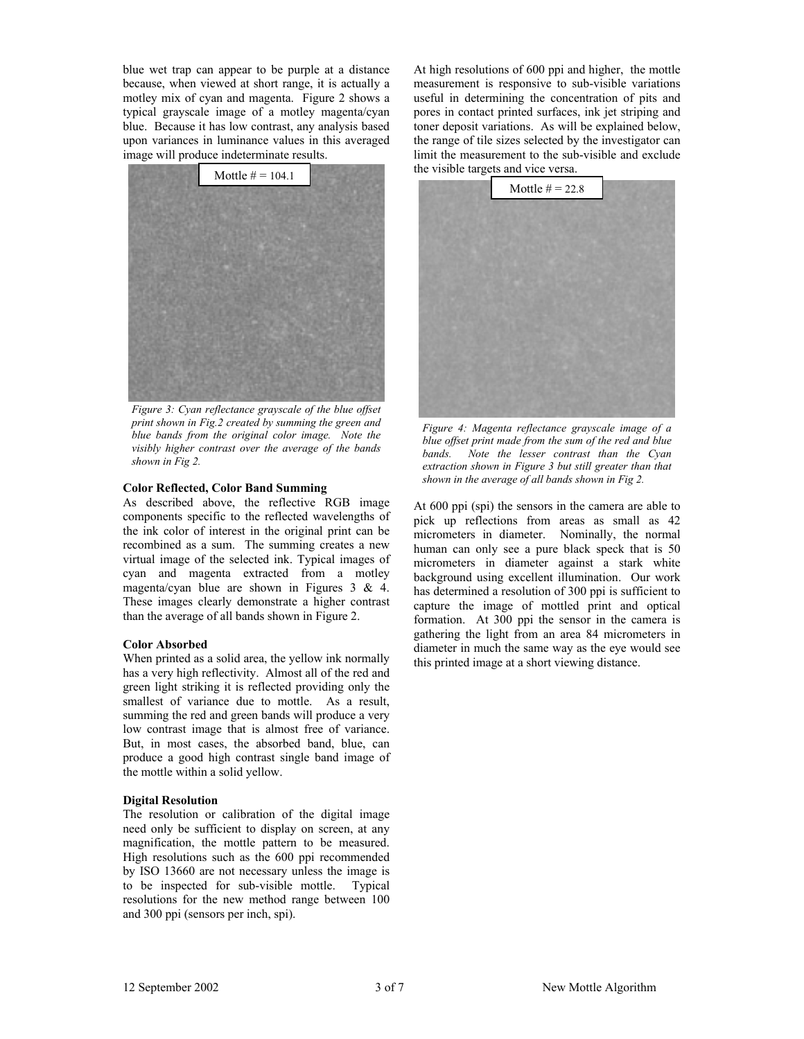blue wet trap can appear to be purple at a distance because, when viewed at short range, it is actually a motley mix of cyan and magenta. Figure 2 shows a typical grayscale image of a motley magenta/cyan blue. Because it has low contrast, any analysis based upon variances in luminance values in this averaged image will produce indeterminate results.



*Figure 3: Cyan reflectance grayscale of the blue offset print shown in Fig.2 created by summing the green and blue bands from the original color image. Note the visibly higher contrast over the average of the bands shown in Fig 2.*

#### **Color Reflected, Color Band Summing**

As described above, the reflective RGB image components specific to the reflected wavelengths of the ink color of interest in the original print can be recombined as a sum. The summing creates a new virtual image of the selected ink. Typical images of cyan and magenta extracted from a motley magenta/cyan blue are shown in Figures 3 & 4. These images clearly demonstrate a higher contrast than the average of all bands shown in Figure 2.

#### **Color Absorbed**

When printed as a solid area, the yellow ink normally has a very high reflectivity. Almost all of the red and green light striking it is reflected providing only the smallest of variance due to mottle. As a result, summing the red and green bands will produce a very low contrast image that is almost free of variance. But, in most cases, the absorbed band, blue, can produce a good high contrast single band image of the mottle within a solid yellow.

#### **Digital Resolution**

The resolution or calibration of the digital image need only be sufficient to display on screen, at any magnification, the mottle pattern to be measured. High resolutions such as the 600 ppi recommended by ISO 13660 are not necessary unless the image is to be inspected for sub-visible mottle. Typical resolutions for the new method range between 100 and 300 ppi (sensors per inch, spi).

At high resolutions of 600 ppi and higher, the mottle measurement is responsive to sub-visible variations useful in determining the concentration of pits and pores in contact printed surfaces, ink jet striping and toner deposit variations. As will be explained below, the range of tile sizes selected by the investigator can limit the measurement to the sub-visible and exclude the visible targets and vice versa.



*Figure 4: Magenta reflectance grayscale image of a blue offset print made from the sum of the red and blue bands. Note the lesser contrast than the Cyan extraction shown in Figure 3 but still greater than that shown in the average of all bands shown in Fig 2.* 

At 600 ppi (spi) the sensors in the camera are able to pick up reflections from areas as small as 42 micrometers in diameter. Nominally, the normal human can only see a pure black speck that is 50 micrometers in diameter against a stark white background using excellent illumination. Our work has determined a resolution of 300 ppi is sufficient to capture the image of mottled print and optical formation. At 300 ppi the sensor in the camera is gathering the light from an area 84 micrometers in diameter in much the same way as the eye would see this printed image at a short viewing distance.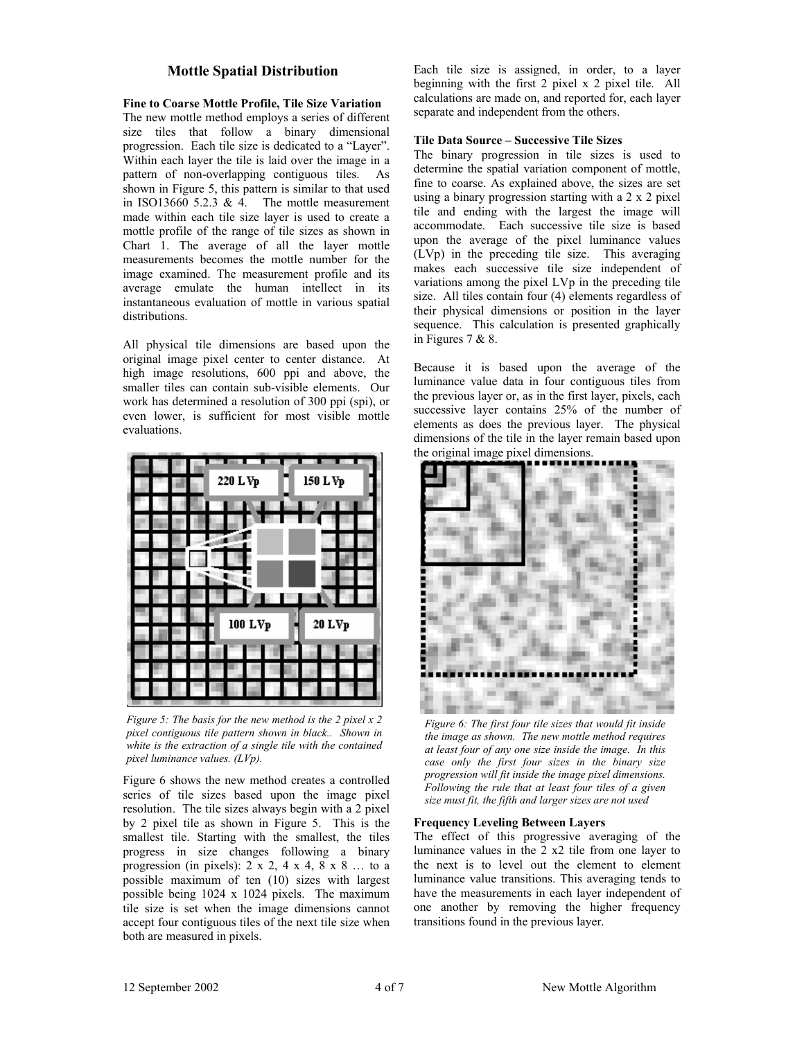# **Mottle Spatial Distribution**

### **Fine to Coarse Mottle Profile, Tile Size Variation**

The new mottle method employs a series of different size tiles that follow a binary dimensional progression. Each tile size is dedicated to a "Layer". Within each layer the tile is laid over the image in a pattern of non-overlapping contiguous tiles. As shown in Figure 5, this pattern is similar to that used in ISO13660 5.2.3  $& 4.$  The mottle measurement made within each tile size layer is used to create a mottle profile of the range of tile sizes as shown in Chart 1. The average of all the layer mottle measurements becomes the mottle number for the image examined. The measurement profile and its average emulate the human intellect in its instantaneous evaluation of mottle in various spatial distributions.

All physical tile dimensions are based upon the original image pixel center to center distance. At high image resolutions, 600 ppi and above, the smaller tiles can contain sub-visible elements. Our work has determined a resolution of 300 ppi (spi), or even lower, is sufficient for most visible mottle evaluations.



*Figure 5: The basis for the new method is the 2 pixel x 2 pixel contiguous tile pattern shown in black.. Shown in white is the extraction of a single tile with the contained pixel luminance values. (LVp).*

Figure 6 shows the new method creates a controlled series of tile sizes based upon the image pixel resolution. The tile sizes always begin with a 2 pixel by 2 pixel tile as shown in Figure 5. This is the smallest tile. Starting with the smallest, the tiles progress in size changes following a binary progression (in pixels):  $2 \times 2$ ,  $4 \times 4$ ,  $8 \times 8$  ... to a possible maximum of ten (10) sizes with largest possible being 1024 x 1024 pixels. The maximum tile size is set when the image dimensions cannot accept four contiguous tiles of the next tile size when both are measured in pixels.

Each tile size is assigned, in order, to a layer beginning with the first 2 pixel x 2 pixel tile. All calculations are made on, and reported for, each layer separate and independent from the others.

#### **Tile Data Source – Successive Tile Sizes**

The binary progression in tile sizes is used to determine the spatial variation component of mottle, fine to coarse. As explained above, the sizes are set using a binary progression starting with a 2 x 2 pixel tile and ending with the largest the image will accommodate. Each successive tile size is based upon the average of the pixel luminance values (LVp) in the preceding tile size. This averaging makes each successive tile size independent of variations among the pixel LVp in the preceding tile size. All tiles contain four (4) elements regardless of their physical dimensions or position in the layer sequence. This calculation is presented graphically in Figures 7 & 8.

Because it is based upon the average of the luminance value data in four contiguous tiles from the previous layer or, as in the first layer, pixels, each successive layer contains 25% of the number of elements as does the previous layer. The physical dimensions of the tile in the layer remain based upon the original image pixel dimensions.



*Figure 6: The first four tile sizes that would fit inside the image as shown. The new mottle method requires at least four of any one size inside the image. In this case only the first four sizes in the binary size progression will fit inside the image pixel dimensions. Following the rule that at least four tiles of a given size must fit, the fifth and larger sizes are not used*

## **Frequency Leveling Between Layers**

The effect of this progressive averaging of the luminance values in the 2 x2 tile from one layer to the next is to level out the element to element luminance value transitions. This averaging tends to have the measurements in each layer independent of one another by removing the higher frequency transitions found in the previous layer.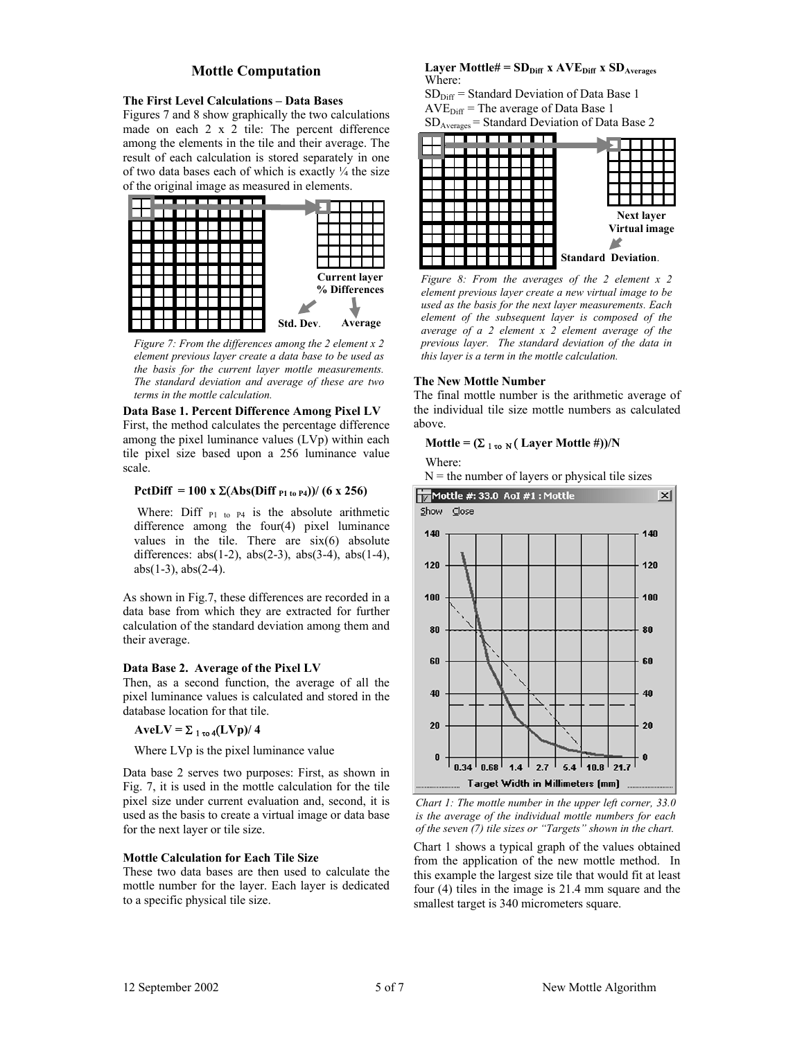# **Mottle Computation**

#### **The First Level Calculations – Data Bases**

Figures 7 and 8 show graphically the two calculations made on each 2 x 2 tile: The percent difference among the elements in the tile and their average. The result of each calculation is stored separately in one of two data bases each of which is exactly  $\frac{1}{4}$  the size of the original image as measured in elements.



*Figure 7: From the differences among the 2 element x 2 element previous layer create a data base to be used as the basis for the current layer mottle measurements. The standard deviation and average of these are two terms in the mottle calculation.* 

**Data Base 1. Percent Difference Among Pixel LV**  First, the method calculates the percentage difference among the pixel luminance values (LVp) within each tile pixel size based upon a 256 luminance value scale.

# **PctDiff = 100 x** Σ(**Abs(Diff P1 to P4))/ (6 x 256)**

Where: Diff  $_{P1}$  to P4 is the absolute arithmetic difference among the four(4) pixel luminance values in the tile. There are  $six(6)$  absolute differences:  $abs(1-2)$ ,  $abs(2-3)$ ,  $abs(3-4)$ ,  $abs(1-4)$ ,  $abs(1-3)$ ,  $abs(2-4)$ .

As shown in Fig.7, these differences are recorded in a data base from which they are extracted for further calculation of the standard deviation among them and their average.

#### **Data Base 2. Average of the Pixel LV**

Then, as a second function, the average of all the pixel luminance values is calculated and stored in the database location for that tile.

 $A$ veLV =  $\Sigma$ <sub>1 το 4</sub>(LVp)/ 4

Where LVp is the pixel luminance value

Data base 2 serves two purposes: First, as shown in Fig. 7, it is used in the mottle calculation for the tile pixel size under current evaluation and, second, it is used as the basis to create a virtual image or data base for the next layer or tile size.

#### **Mottle Calculation for Each Tile Size**

These two data bases are then used to calculate the mottle number for the layer. Each layer is dedicated to a specific physical tile size.

#### **Layer Mottle# =**  $SD_{Diff}$  **x**  $AVE_{Diff}$  **x**  $SD_{Average}$ Where:

 $SD<sub>Diff</sub>$  = Standard Deviation of Data Base 1  $AVE<sub>Diff</sub>$  = The average of Data Base 1 SDAverages = Standard Deviation of Data Base 2



*Figure 8: From the averages of the 2 element x 2 element previous layer create a new virtual image to be used as the basis for the next layer measurements. Each element of the subsequent layer is composed of the average of a 2 element x 2 element average of the previous layer. The standard deviation of the data in this layer is a term in the mottle calculation.* 

#### **The New Mottle Number**

The final mottle number is the arithmetic average of the individual tile size mottle numbers as calculated above.

## **Mottle =**  $(\Sigma_{1\text{ to }N}(\text{Layer Motte }\#))/N$

Where:

 $N =$  the number of layers or physical tile sizes



*Chart 1: The mottle number in the upper left corner, 33.0 is the average of the individual mottle numbers for each of the seven (7) tile sizes or "Targets" shown in the chart.* 

Chart 1 shows a typical graph of the values obtained from the application of the new mottle method. In this example the largest size tile that would fit at least four (4) tiles in the image is 21.4 mm square and the smallest target is 340 micrometers square.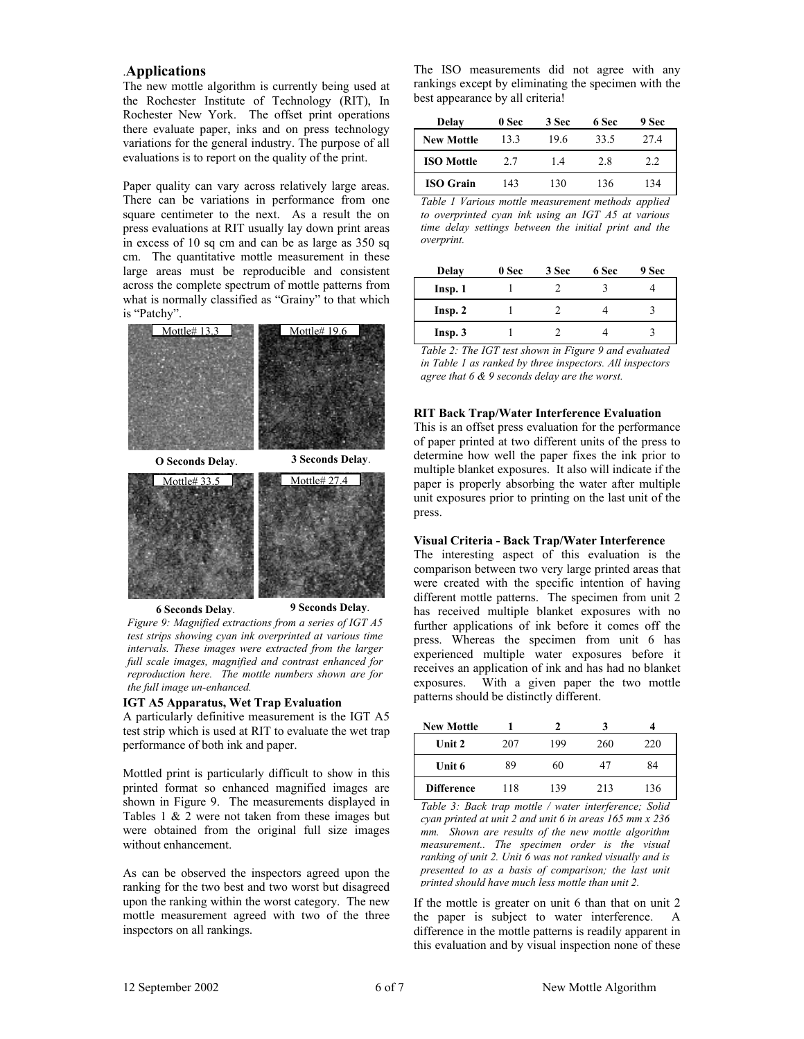# .**Applications**

The new mottle algorithm is currently being used at the Rochester Institute of Technology (RIT), In Rochester New York. The offset print operations there evaluate paper, inks and on press technology variations for the general industry. The purpose of all evaluations is to report on the quality of the print.

Paper quality can vary across relatively large areas. There can be variations in performance from one square centimeter to the next. As a result the on press evaluations at RIT usually lay down print areas in excess of 10 sq cm and can be as large as 350 sq cm. The quantitative mottle measurement in these large areas must be reproducible and consistent across the complete spectrum of mottle patterns from what is normally classified as "Grainy" to that which is "Patchy".



*Figure 9: Magnified extractions from a series of IGT A5 test strips showing cyan ink overprinted at various time intervals. These images were extracted from the larger full scale images, magnified and contrast enhanced for reproduction here. The mottle numbers shown are for the full image un-enhanced.* 

#### **IGT A5 Apparatus, Wet Trap Evaluation**

A particularly definitive measurement is the IGT A5 test strip which is used at RIT to evaluate the wet trap performance of both ink and paper.

Mottled print is particularly difficult to show in this printed format so enhanced magnified images are shown in Figure 9. The measurements displayed in Tables 1 & 2 were not taken from these images but were obtained from the original full size images without enhancement.

As can be observed the inspectors agreed upon the ranking for the two best and two worst but disagreed upon the ranking within the worst category. The new mottle measurement agreed with two of the three inspectors on all rankings.

The ISO measurements did not agree with any rankings except by eliminating the specimen with the best appearance by all criteria!

| Delay             | 0 Sec | 3 Sec | 6 Sec | 9 Sec |
|-------------------|-------|-------|-------|-------|
| <b>New Mottle</b> | 13.3  | 19.6  | 33.5  | 27.4  |
| <b>ISO Mottle</b> | 2.7   | 14    | 2.8   | 2.2   |
| <b>ISO Grain</b>  | 143   | 130   | 136   | 134   |

*Table 1 Various mottle measurement methods applied to overprinted cyan ink using an IGT A5 at various time delay settings between the initial print and the overprint.*

| Delay   | 0 Sec | 3 Sec | 6 Sec | 9 Sec |
|---------|-------|-------|-------|-------|
| Insp. 1 |       |       |       |       |
| Insp. 2 |       |       |       |       |
| Insp.3  |       |       |       |       |

*Table 2: The IGT test shown in Figure 9 and evaluated in Table 1 as ranked by three inspectors. All inspectors agree that 6 & 9 seconds delay are the worst.* 

### **RIT Back Trap/Water Interference Evaluation**

This is an offset press evaluation for the performance of paper printed at two different units of the press to determine how well the paper fixes the ink prior to multiple blanket exposures. It also will indicate if the paper is properly absorbing the water after multiple unit exposures prior to printing on the last unit of the press.

# **Visual Criteria - Back Trap/Water Interference**

The interesting aspect of this evaluation is the comparison between two very large printed areas that were created with the specific intention of having different mottle patterns. The specimen from unit 2 has received multiple blanket exposures with no further applications of ink before it comes off the press. Whereas the specimen from unit 6 has experienced multiple water exposures before it receives an application of ink and has had no blanket exposures. With a given paper the two mottle patterns should be distinctly different.

| <b>New Mottle</b> |     |     |     |     |
|-------------------|-----|-----|-----|-----|
| Unit 2            | 207 | 199 | 260 | 220 |
| Unit 6            | 89  | 60  | 47  | 84  |
| <b>Difference</b> | 118 | 139 | 213 | 136 |

*Table 3: Back trap mottle / water interference; Solid cyan printed at unit 2 and unit 6 in areas 165 mm x 236 mm. Shown are results of the new mottle algorithm measurement.. The specimen order is the visual ranking of unit 2. Unit 6 was not ranked visually and is presented to as a basis of comparison; the last unit printed should have much less mottle than unit 2.*

If the mottle is greater on unit 6 than that on unit 2 the paper is subject to water interference. A difference in the mottle patterns is readily apparent in this evaluation and by visual inspection none of these